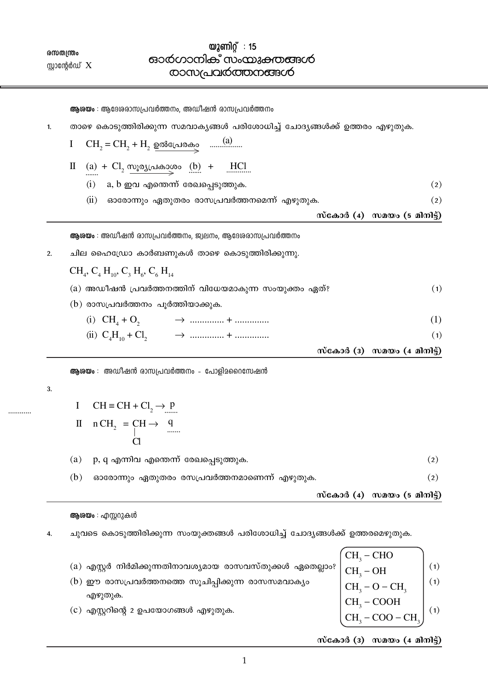$\mathbf{1}$ 

സ്കോർ (3) സമയം (4 മിനിട്ട്)

- $CH_3 CHO$ <br>  $CH_3 OH$ <br>  $CH_3 O CH_3$ <br>  $CH_3 COOH$ (a) എസ്റ്റർ നിർമിക്കുന്നതിനാവശ്യമായ രാസവസ്തുക്കൾ ഏതെല്ലാം?  $(1)$ (b) ഈ രാസപ്രവർത്തനത്തെ സൂചിപ്പിക്കുന്ന രാസസമവാക്യം  $(1)$ എഴുതുക.  $(c)$  എസ്റ്ററിന്റെ 2 ഉപയോഗങ്ങൾ എഴുതുക.  $(1)$  $CH<sub>2</sub> - COO - CH<sub>2</sub>$
- ചുവടെ കൊടുത്തിരിക്കുന്ന സംയുക്തങ്ങൾ പരിശോധിച്ച് ചോദ്യങ്ങൾക്ക് ഉത്തരമെഴുതുക.  $\overline{4}$ .

ആശയം : എസ്സറുകൾ

സ്കോർ  $(4)$  സമയം  $(5 \text{ and } 5)$ 

 $(2)$ 

 $(2)$ 

- $(b)$ ഓരോന്നും ഏതുതരം രസപ്രവർത്തനമാണെന്ന് എഴുതുക.  $(2)$
- $(a)$ p, q എന്നിവ എന്തെന്ന് രേഖപ്പെടുത്തുക.  $(2)$
- II  $n CH_2 = CH \rightarrow Q$ <br>CI
- I CH = CH + Cl<sub>2</sub>  $\rightarrow$  P
- 
- 3.

 $2.$ 

- ആശയം : അഡീഷൻ രാസപ്രവർത്തനം പോളിമറൈസേഷൻ
- സ്കോർ (4) സമയം (5 മിനിട്ട്) ആശയം : അഡീഷൻ രാസപ്രവർത്തനം, ജ്വലനം, ആദേശരാസപ്രവർത്തനം ചില ഹൈഡ്രോ കാർബണുകൾ താഴെ കൊടുത്തിരിക്കുന്നു.  $CH_{4}$ ,  $C_{4}$   $H_{10}$ ,  $C_{3}$   $H_{6}$ ,  $C_{6}$   $H_{14}$ (a) അഡീഷൻ പ്രവർത്തനത്തിന് വിധേയമാകുന്ന സംയുക്തം ഏത്?  $(1)$ (b) രാസപ്രവർത്തനം പൂർത്തിയാക്കുക.  $(1)$  $(1)$ സ്കോർ (3) സമയം  $(4 \text{ and } 5)$
- 
- $(i)$  a,  $b$  ഇവ എന്തെന്ന് രേഖപ്പെടുത്തുക. (ii) ഓരോന്നും ഏതുതരം രാസപ്രവർത്തനമെന്ന് എഴുതുക.
- $II$  (a) +  $Cl_2$  <u>സൂര്യപ്രകാശം</u> (b) + HCl
- താഴെ കൊടുത്തിരിക്കുന്ന സമവാകൃങ്ങൾ പരിശോധിച്ച് ചോദൃങ്ങൾക്ക് ഉത്തരം എഴുതുക.
- ആശയം : ആദേശരാസപ്രവർത്തനം, അഡീഷൻ രാസപ്രവർത്തനം

## $\mathbf{1}$

 $\omega$ 2 am $\Omega$  : 15

<u>ഓർഗാനിക് സംയുക്തങ്ങൾ</u>

<u>രാസപ്രവർത്തനങ്ങൾ</u>

# ൜തന്ത്രം സ്റ്റാന്റേർഡ്  $X$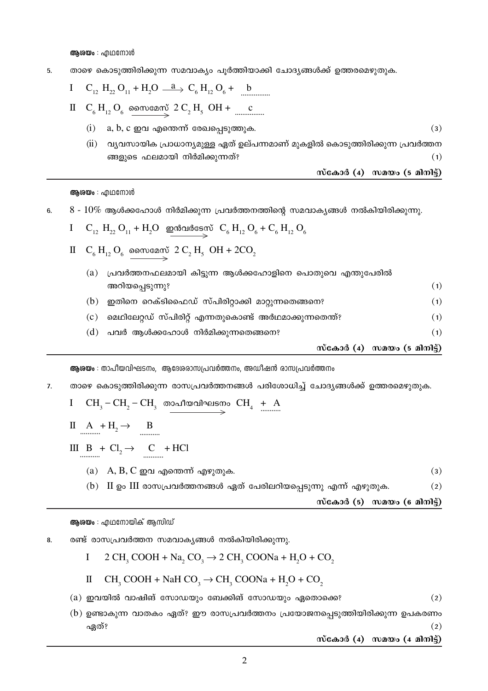അശയം : എഥനോൾ

താഴെ കൊടുത്തിരിക്കുന്ന സമവാക്യം പൂർത്തിയാക്കി ചോദ്യങ്ങൾക്ക് ഉത്തരമെഴുതുക. 5.

I C<sub>12</sub> H<sub>22</sub> O<sub>11</sub> + H<sub>2</sub>O 
$$
\stackrel{\text{a}}{\longrightarrow}
$$
 C<sub>6</sub> H<sub>12</sub> O<sub>6</sub> +  $\stackrel{\text{b}}{\longrightarrow}$ 

- - $a, b, c$  ഇവ എന്തെന്ന് രേഖപ്പെടുത്തുക.  $(i)$  $(3)$
	- (ii) വ്യവസായിക പ്രാധാന്യമുള്ള ഏത് ഉല്പന്നമാണ് മുകളിൽ കൊടുത്തിരിക്കുന്ന പ്രവർത്തന ങ്ങളുടെ ഫലമായി നിർമിക്കുന്നത്?  $(1)$

$$
\omega
$$
ബു രി (4) സമയം (5 മിനിട്ട്)

ആശയം : എഥനോൾ

 $8 - 10\%$  ആൾക്കഹോൾ നിർമിക്കുന്ന പ്രവർത്തനത്തിന്റെ സമവാകൃങ്ങൾ നൽകിയിരിക്കുന്നു.  $6.$ 

$$
I = C_{12} H_{22} O_{11} + H_2 O
$$

II  $C_6 H_{12} O_6$  someon  $2 C_2 H_5$  OH + 2CO<sub>2</sub>

| (a) | പ്രവർത്തനഫലമായി കിട്ടുന്ന ആൾക്കഹോളിനെ പൊതുവെ എന്തുപേരിൽ |                             |
|-----|---------------------------------------------------------|-----------------------------|
|     | അറിയപ്പെടുന്നു?                                         | (1)                         |
| (b) | ഇതിനെ റെക്ടിഫൈഡ് സ്പിരിറ്റാക്കി മാറ്റുന്നതെങ്ങനെ?       | (1)                         |
| (c) | മെഥിലേറ്റഡ് സ്പിരിറ്റ് എന്നതുകൊണ്ട് അർഥമാക്കുന്നതെന്ത്? | (1)                         |
| (d) | പവർ ആൾക്കഹോൾ നിർമിക്കുന്നതെങ്ങനെ?                       | (1)                         |
|     |                                                         | സ്കോർ (4) സമയം (5 മിനിട്ട്) |

ആശയം : താപീയവിഘടനം, ആദേശരാസപ്രവർത്തനം, അഡീഷൻ രാസപ്രവർത്തനം

താഴെ കൊടുത്തിരിക്കുന്ന രാസപ്രവർത്തനങ്ങൾ പരിശോധിച്ച് ചോദ്യങ്ങൾക്ക് ഉത്തരമെഴുതുക. 7.

$$
I \quad CH_3-CH_2-CH_3 \quad \text{modnormalings \quad } CH_4 + A
$$

$$
\text{II} \quad \text{A} \quad + \text{H}_2 \rightarrow \text{B}
$$

III 
$$
B + Cl_2 \rightarrow C + HCl
$$

- (a)  $A, B, C$  ഇവ എന്തെന്ന് എഴുതുക.
- (b) II ഉം III രാസപ്രവർത്തനങ്ങൾ ഏത് പേരിലറിയപ്പെടുന്നു എന്ന് എഴുതുക.  $(2)$

 $\tilde{\text{m}}$ сало (5)  $\tilde{\text{m}}$ ало (6  $\tilde{\text{m}}$ )

 $(3)$ 

### ആരയം : എഥനോയിക് ആസിഡ്

രണ്ട് രാസപ്രവർത്തന സമവാകൃങ്ങൾ നൽകിയിരിക്കുന്നു. 8.

I 
$$
2 \text{ CH}_3 \text{ COOH} + \text{Na}_2 \text{ CO}_3 \rightarrow 2 \text{ CH}_3 \text{ COONa} + \text{H}_2\text{O} + \text{CO}_2
$$

$$
II \quad CH_3 COOH + NaH CO_3 \rightarrow CH_3 COONa + H_2O + CO_2
$$

- $(a)$  ഇവയിൽ വാഷിങ് സോഡയും ബേക്കിങ് സോഡയും ഏതൊക്കെ?  $(2)$
- $(b)$  ഉണ്ടാകുന്ന വാതകം ഏത്? ഈ രാസപ്രവർത്തനം പ്രയോജനപ്പെടുത്തിയിരിക്കുന്ന ഉപകരണം  $(2)$ ഏത്?

സ്കോർ  $(4)$  സമയം  $(4 \text{ and } 6)$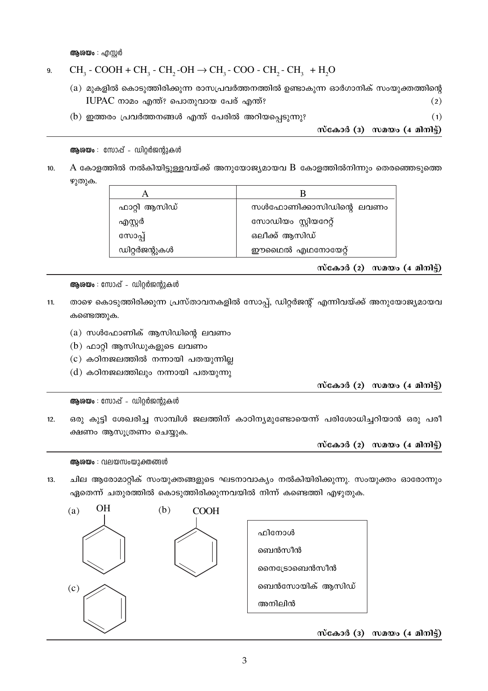അശയം : എസർ

#### $CH_3$  - COOH + CH<sub>3</sub> - CH<sub>2</sub> - OH  $\rightarrow$  CH<sub>3</sub> - COO - CH<sub>2</sub> - CH<sub>3</sub> + H<sub>2</sub>O 9.

- (a) മുകളിൽ കൊടുത്തിരിക്കുന്ന രാസപ്രവർത്തനത്തിൽ ഉണ്ടാകുന്ന ഓർഗാനിക് സംയുക്തത്തിന്റെ IUPAC നാമം എന്ത്? പൊതുവായ പേര് എന്ത്?  $(2)$
- $(b)$  ഇത്തരം പ്രവർത്തനങ്ങൾ എന്ത് പേരിൽ അറിയപ്പെടുന്നു?

സ്കോർ (3) സമയം  $(4$  മിനിട്ട്)

 $(1)$ 

ആശയം : സോപ്പ് - ഡിറ്റർജന്റുകൾ

 ${\rm A}$  കോളത്തിൽ നൽകിയിട്ടുള്ളവയ്ക്ക് അനുയോജ്യമായവ  ${\rm B}$  കോളത്തിൽനിന്നും തെരഞ്ഞെടുത്തെ  $10.$  $\mathfrak{D}(\mathfrak{D})$ ക.

| ഫാറ്റി ആസിഡ്  | സൾഫോണിക്കാസിഡിന്റെ ലവണം |
|---------------|-------------------------|
| എസ്റ്റർ       | സോഡിയം സ്റ്റിയറേറ്റ്    |
| സോപ്പ്        | ഒലീക്ക് ആസിഡ്           |
| ഡിറ്റർജന്റുകൾ | ഈഥൈൽ എഥനോയേറ്റ്         |

സ്കോർ  $(2)$  സമയം  $(4 \text{ and } 3)$ 

ആശയം : സോപ്പ് - ഡിറ്റർജന്റുകൾ

- താഴെ കൊടുത്തിരിക്കുന്ന പ്രസ്താവനകളിൽ സോപ്പ്, ഡിറ്റർജന്റ് എന്നിവയ്ക്ക് അനുയോജ്യമായവ  $11.$ കണ്ടെത്തുക.
	- $(a)$  സൾഫോണിക് ആസിഡിന്റെ ലവണം
	- $(b)$  ഫാറ്റി ആസിഡുകളുടെ ലവണം
	- $(c)$  കഠിനജലത്തിൽ നന്നായി പതയുന്നില്ല
	- $(d)$  കഠിനജലത്തിലും നന്നായി പതയുന്നു

സ്കോർ (2) സമയം (4 മിനിട്ട്)

ആശയം : സോപ്പ് - ഡിറ്റർജന്റുകൾ

ഒരു കുട്ടി ശേഖരിച്ച സാമ്പിൾ ജലത്തിന് കാഠിന്യമുണ്ടോയെന്ന് പരിശോധിച്ചറിയാൻ ഒരു പരീ  $12.$ ക്ഷണം ആസൂത്രണം ചെയ്യുക.

സ്കോർ  $(2)$  സമയം  $(4 \text{ and } 3)$ 

ആരയം : വലയസംയുക്തങ്ങൾ

 $13<sub>1</sub>$ ചില ആരോമാറ്റിക് സംയുക്തങ്ങളുടെ ഘടനാവാക്യം നൽകിയിരിക്കുന്നു. സംയുക്തം ഓരോന്നും ഏതെന്ന് ചതുരത്തിൽ കൊടുത്തിരിക്കുന്നവയിൽ നിന്ന് കണ്ടെത്തി എഴുതുക.



സ്കോർ (3) സമയം (4 മിനിട്ട്)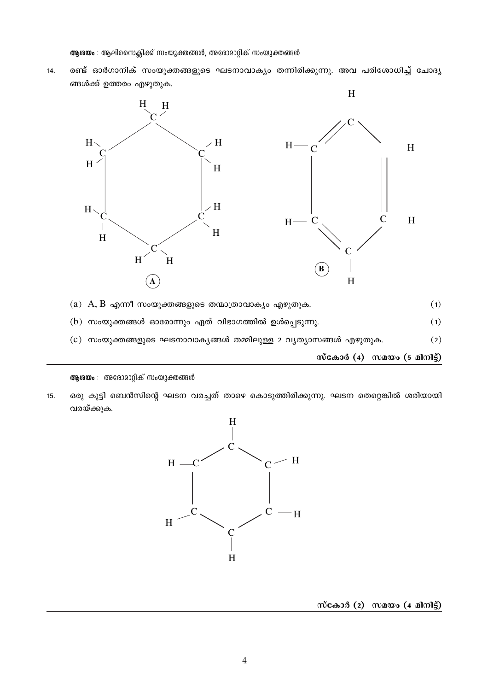ആരയം : ആലിസൈക്ലിക്ക് സംയുക്തങ്ങൾ, അരോമാറ്റിക് സംയുക്തങ്ങൾ

 $14.$ 





- (a)  $A, B$  എന്നീ സംയുക്തങ്ങളുടെ തന്മാത്രാവാക്യം എഴുതുക.  $(1)$
- $(b)$  സംയുക്തങ്ങൾ ഓരോന്നും ഏത് വിഭാഗത്തിൽ ഉൾപ്പെടുന്നു.  $(1)$
- $(c)$  സംയുക്തങ്ങളുടെ ഘടനാവാകൃങ്ങൾ തമ്മിലുള്ള 2 വൃത്യാസങ്ങൾ എഴുതുക.  $(2)$

 $\tilde{\text{m}}$ сано (4)  $\tilde{\text{m}}$ ато (5 а $\tilde{\text{m}}$ )

ആശയം : അരോമാറ്റിക് സംയുക്തങ്ങൾ

ഒരു കുട്ടി ബെൻസിന്റെ ഘടന വരച്ചത് താഴെ കൊടുത്തിരിക്കുന്നു. ഘടന തെറ്റെങ്കിൽ ശരിയായി 15. വരയ്ക്കുക.



സ്കോർ  $(2)$  സമയം  $(4 \text{ and } 3)$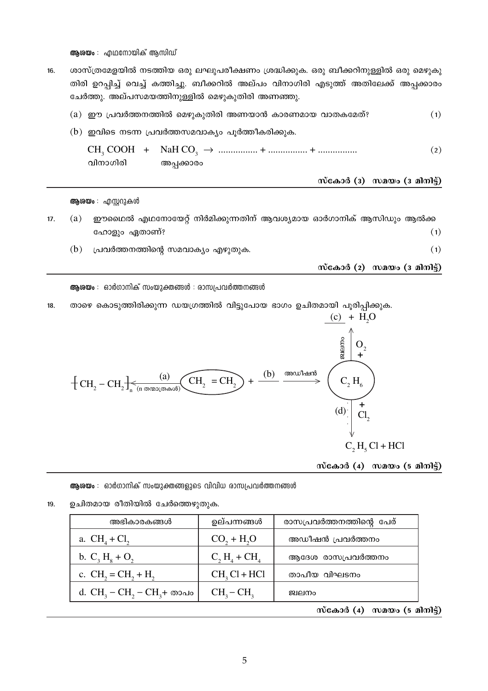ആരയം : എഥനോയിക് ആസിഡ്

ശാസ്ത്രമേളയിൽ നടത്തിയ ഒരു ലഘുപരീക്ഷണം ശ്രദ്ധിക്കുക. ഒരു ബീക്കറിനുള്ളിൽ ഒരു മെഴുകു 16. തിരി ഉറപ്പിച്ച് വെച്ച് കത്തിച്ചു. ബീക്കറിൽ അല്പം വിനാഗിരി എടുത്ത് അതിലേക്ക് അപ്പക്കാരം ചേർത്തു. അല്പസമയത്തിനുള്ളിൽ മെഴുകുതിരി അണഞ്ഞു.

| വിനാഗിരി | അപ്പക്കാരം |                                                                                                                |
|----------|------------|----------------------------------------------------------------------------------------------------------------|
|          |            | (2)                                                                                                            |
|          |            |                                                                                                                |
|          |            | (1)                                                                                                            |
|          |            | (a) ഈ പ്രവർത്തനത്തിൽ മെഴുകുതിരി അണയാൻ കാരണമായ വാതകമേത്?<br>$(b)$ ഇവിടെ നടന്ന പ്രവർത്തസമവാക്യം പൂർത്തീകരിക്കുക. |

ആശയം : എസ്റ്ററുകൾ

- ഈഥൈൽ എഥനോയേറ്റ് നിർമിക്കുന്നതിന് ആവശ്യമായ ഓർഗാനിക് ആസിഡും ആൽക്ക  $17.$  $(a)$ ഹോളും ഏതാണ്?  $(1)$ 
	- $(b)$  പ്രവർത്തനത്തിന്റെ സമവാക്യം എഴുതുക.

സ്കോർ  $(2)$  സമയം  $(3 \text{ and } 3)$ 

 $(1)$ 

## ആശയം : ഓർഗാനിക് സംയുക്തങ്ങൾ : രാസപ്രവർത്തനങ്ങൾ

താഴെ കൊടുത്തിരിക്കുന്ന ഡയഗ്രത്തിൽ വിട്ടുപോയ ഭാഗം ഉചിതമായി പൂരിപ്പിക്കുക. 18.  $\overline{a}$   $\overline{a}$   $\overline{a}$ 

$$
+ CH_{2} - CH_{2} + \frac{(a)}{a_{0}} \underbrace{CH_{2}}_{(n \text{ on zero (a), } a, a)} \underbrace{CH_{2}}_{(H_{2})} = CH_{2} + \frac{(b)}{a_{0}} \underbrace{C_{2}H_{6}}_{(d) \cdot \begin{pmatrix} + \\ C_{1} \\ C_{2} \\ \vdots \\ C_{n} \end{pmatrix}} + \underbrace{H_{2}O}_{(d) \cdot \begin{pmatrix} + \\ C_{1} \\ C_{2} \\ \vdots \\ C_{n} \end{pmatrix}} + \underbrace{H_{3}O}_{(d) \cdot \begin{pmatrix} + \\ - \\ C_{1} \\ \vdots \\ C_{n} \end{pmatrix}} + \underbrace{H_{4}O}_{(d) \cdot \begin{pmatrix} + \\ - \\ C_{2} \\ \vdots \\ C_{n} \end{pmatrix}} + \underbrace{H_{5}O}_{(d) \cdot \begin{pmatrix} + \\ - \\ C_{1} \\ \vdots \\ C_{n} \end{pmatrix}} + \underbrace{H_{6}O}_{(d) \cdot \begin{pmatrix} + \\ - \\ C_{2} \\ \vdots \\ C_{n} \end{pmatrix}} + \underbrace{H_{6}O}_{(d) \cdot \begin{pmatrix} + \\ - \\ - \\ C_{1} \\ \vdots \\ C_{n} \end{pmatrix}} + \underbrace{H_{7}O}_{(d) \cdot \begin{pmatrix} + \\ - \\ - \\ - \\ - \\ C_{2} \\ \vdots \\ C_{n} \end{pmatrix}} + \underbrace{H_{8}O}_{(d) \cdot \begin{pmatrix} + \\ - \\ - \\ - \\ - \\ - \\ - \end{pmatrix}} + \underbrace{H_{9}O}_{(d) \cdot \begin{pmatrix} + \\ - \\ - \\ - \\ - \\ - \\ - \end{pmatrix}} + \underbrace{H_{1}O}_{(d) \cdot \begin{pmatrix} + \\ - \\ - \\ - \\ - \\ - \\ - \end{pmatrix}} + \underbrace{H_{1}O}_{(d) \cdot \begin{pmatrix} + \\ - \\ - \\ - \\ - \\ - \\ - \end{pmatrix}} + \underbrace{H_{1}O}_{(d) \cdot \begin{pmatrix} + \\ - \\ - \\ - \\ - \\ - \\ - \end{pmatrix}} + \underbrace{H_{1}O}_{(d) \cdot \begin{pmatrix} + \\ - \\ - \\ - \\ - \\ - \end{pmatrix}} + \underbrace{H_{1}O}_{(d) \cdot \begin{pmatrix} + \\ - \\ - \\ - \\ - \\ - \end{pmatrix}} + \underbrace{H_{1}O}_{(d) \cdot \begin{pmatrix} + \\
$$

സ്കോർ  $(4)$  സമയം  $(5$  മിനിട്ട്)

ആശയം : ഓർഗാനിക് സംയുക്തങ്ങളുടെ വിവിധ രാസപ്രവർത്തനങ്ങൾ

19. ഉചിതമായ രീതിയിൽ ചേർത്തെഴുതുക.

| അഭികാരകങ്ങൾ                      | ഉല്പന്നങ്ങൾ      | രാസപ്രവർത്തനത്തിന്റെ പേര് |
|----------------------------------|------------------|---------------------------|
| a. $CH_4 + Cl_2$                 | $CO2 + H2O$      | അഡീഷൻ പ്രവർത്തനം          |
| b. $C_3 H_8 + O_2$               | $C_2 H_4 + CH_4$ | ആദേശ രാസപ്രവർത്തനം        |
| c. $CH_2 = CH_2 + H_2$           | $CH2Cl + HCl$    | താപീയ വിഘടനം              |
| d. $CH_3 - CH_2 - CH_3 + \infty$ | $CH3-CH3$        | ജ്വലനം                    |

സ്കോർ  $(4)$  സമയം  $(5 \text{ and } 5)$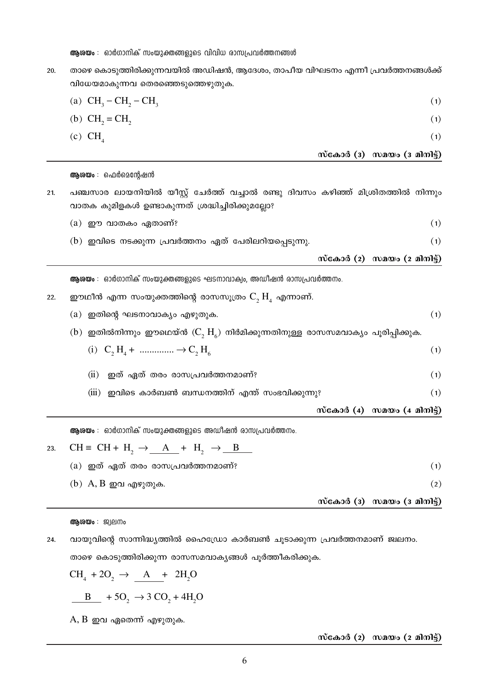ആശയം : ഓർഗാനിക് സംയുക്തങ്ങളുടെ വിവിധ രാസപ്രവർത്തനങ്ങൾ

താഴെ കൊടുത്തിരിക്കുന്നവയിൽ അഡിഷൻ, ആദേശം, താപീയ വിഘടനം എന്നീ പ്രവർത്തനങ്ങൾക്ക് 20. വിധേയമാകുന്നവ തെരഞ്ഞെടുത്തെഴുതുക.

|     | (a) $CH_3-CH_2-CH_3$                                                                                                                   | (1)                                                      |  |
|-----|----------------------------------------------------------------------------------------------------------------------------------------|----------------------------------------------------------|--|
|     | (b) $CH_2 = CH_2$                                                                                                                      | (1)                                                      |  |
|     | $(c) CH_{4}$                                                                                                                           | (1)                                                      |  |
|     |                                                                                                                                        | സ്കോർ ( $\overline{3}$ ) സമയം ( $\overline{3}$ മിനിട്ട്) |  |
|     | <b>ആശയം</b> : ഫെർമെന്റേഷൻ                                                                                                              |                                                          |  |
| 21. | പഞ്ചസാര ലായനിയിൽ യീസ്റ്റ് ചേർത്ത് വച്ചാൽ രണ്ടു ദിവസം കഴിഞ്ഞ് മിശ്രിതത്തിൽ നിന്നും<br>വാതക കുമിളകൾ ഉണ്ടാകുന്നത് ശ്രദ്ധിച്ചിരിക്കുമല്ലോ? |                                                          |  |
|     | (a) ഈ വാതകം ഏതാണ്?                                                                                                                     | (1)                                                      |  |
|     | (b) ഇവിടെ നടക്കുന്ന പ്രവർത്തനം ഏത് പേരിലറിയപ്പെടുന്നു.                                                                                 | (1)                                                      |  |
|     |                                                                                                                                        | സ്കോർ $(2)$ സമയം $(2 \text{ and } 3)$                    |  |
|     | <b>ആരയം</b> : ഓർഗാനിക് സംയുക്തങ്ങളുടെ ഘടനാവാക്വം, അഡീഷൻ രാസപ്രവർത്തനം.                                                                 |                                                          |  |
| 22. | ഈഥീൻ എന്ന സംയുക്തത്തിന്റെ രാസസൂത്രം $\mathrm{C}_2\, \mathrm{H}_4^{\phantom{\dag}}$ എന്നാണ്.                                            |                                                          |  |
|     | (a) ഇതിന്റെ ഘടനാവാക്യം എഴുതുക.                                                                                                         | (1)                                                      |  |
|     | (b) ഇതിൽനിന്നും ഈഥെയ്ൻ $(\mathbf{C},\,\mathbf{H}_\kappa)$ നിർമിക്കുന്നതിനുള്ള രാസസമവാക്യം പൂരിപ്പിക്കുക.                               |                                                          |  |
|     | (i) $C_2 H_4 + \dots + C_2 H_6$                                                                                                        | (1)                                                      |  |
|     | (ii)<br>ഇത് ഏത് തരം രാസപ്രവർത്തനമാണ്?                                                                                                  | (1)                                                      |  |
|     | (iii)<br>ഇവിടെ കാർബൺ ബന്ധനത്തിന് എന്ത് സംഭവിക്കുന്നു?                                                                                  | (1)                                                      |  |
|     |                                                                                                                                        | സ്കോർ $(4)$ സമയം $(4 \text{ and } 3)$                    |  |

ആശയം : ഓർഗാനിക് സംയുക്തങ്ങളുടെ അഡീഷൻ രാസപ്രവർത്തനം.

23. 
$$
CH \equiv CH + H_2 \rightarrow \underline{A} + H_2 \rightarrow \underline{B}
$$

|                                          | സ്കോർ (3) സമയം (3 മിനിട്ട്) |
|------------------------------------------|-----------------------------|
| $(b)$ A, B ഇവ എഴുതുക.                    | (2)                         |
| $\alpha$ ) ഇത് ഏത് തരം രാസപ്രവർത്തനമാണ്? |                             |

## ആരയം : ജ്വലനം

വായുവിന്റെ സാന്നിദ്ധ്യത്തിൽ ഹൈഡ്രോ കാർബൺ ചൂടാക്കുന്ന പ്രവർത്തനമാണ് ജ്വലനം. 24. താഴെ കൊടുത്തിരിക്കുന്ന രാസസമവാകൃങ്ങൾ പൂർത്തീകരിക്കുക.

$$
CH_4 + 2O_2 \rightarrow \underline{A + 2H_2O}
$$

$$
\underline{\qquad B} + 5\underline{\text{O}}_2 \rightarrow 3\ \text{CO}_2 + 4\text{H}_2\text{O}
$$

 $A, B$  ഇവ ഏതെന്ന് എഴുതുക.